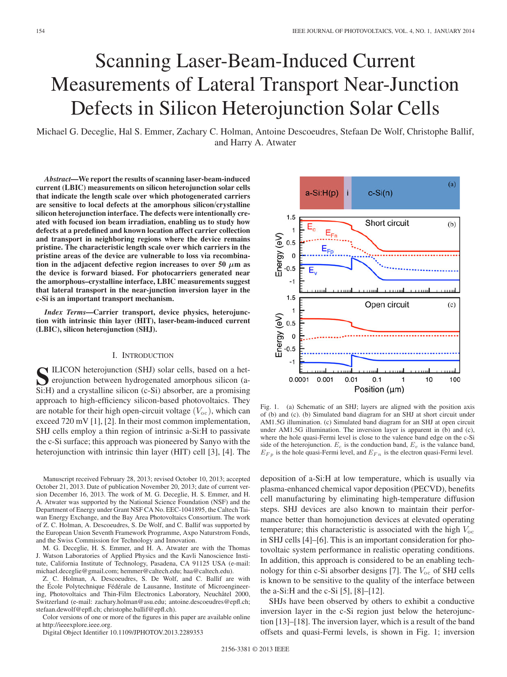# Scanning Laser-Beam-Induced Current Measurements of Lateral Transport Near-Junction Defects in Silicon Heterojunction Solar Cells

Michael G. Deceglie, Hal S. Emmer, Zachary C. Holman, Antoine Descoeudres, Stefaan De Wolf, Christophe Ballif, and Harry A. Atwater

*Abstract***—We report the results of scanning laser-beam-induced current (LBIC) measurements on silicon heterojunction solar cells that indicate the length scale over which photogenerated carriers are sensitive to local defects at the amorphous silicon/crystalline silicon heterojunction interface. The defects were intentionally created with focused ion beam irradiation, enabling us to study how defects at a predefined and known location affect carrier collection and transport in neighboring regions where the device remains pristine. The characteristic length scale over which carriers in the pristine areas of the device are vulnerable to loss via recombination in the adjacent defective region increases to over 50**  $\mu$ **m as the device is forward biased. For photocarriers generated near the amorphous–crystalline interface, LBIC measurements suggest that lateral transport in the near-junction inversion layer in the c-Si is an important transport mechanism.**

*Index Terms***—Carrier transport, device physics, heterojunction with intrinsic thin layer (HIT), laser-beam-induced current (LBIC), silicon heterojunction (SHJ).**

## I. INTRODUCTION

**S**ILICON heterojunction (SHJ) solar cells, based on a het-<br>erojunction between hydrogenated amorphous silicon (a-<br>Si-H) and a crystalling silicon (c Si) absorber are a promising Si:H) and a crystalline silicon (c-Si) absorber, are a promising approach to high-efficiency silicon-based photovoltaics. They are notable for their high open-circuit voltage  $(V_{oc})$ , which can exceed 720 mV [1], [2]. In their most common implementation, SHJ cells employ a thin region of intrinsic a-Si:H to passivate the c-Si surface; this approach was pioneered by Sanyo with the heterojunction with intrinsic thin layer (HIT) cell [3], [4]. The

Manuscript received February 28, 2013; revised October 10, 2013; accepted October 21, 2013. Date of publication November 20, 2013; date of current version December 16, 2013. The work of M. G. Deceglie, H. S. Emmer, and H. A. Atwater was supported by the National Science Foundation (NSF) and the Department of Energy under Grant NSF CA No. EEC-1041895, the Caltech Taiwan Energy Exchange, and the Bay Area Photovoltaics Consortium. The work of Z. C. Holman, A. Descoeudres, S. De Wolf, and C. Ballif was supported by the European Union Seventh Framework Programme, Axpo Naturstrom Fonds, and the Swiss Commission for Technology and Innovation.

M. G. Deceglie, H. S. Emmer, and H. A. Atwater are with the Thomas J. Watson Laboratories of Applied Physics and the Kavli Nanoscience Institute, California Institute of Technology, Pasadena, CA 91125 USA (e-mail: michael.deceglie@gmail.com; hemmer@caltech.edu; haa@caltech.edu).

Z. C. Holman, A. Descoeudres, S. De Wolf, and C. Ballif are with the École Polytechnique Fédérale de Lausanne, Institute of Microengineering, Photovoltaics and Thin-Film Electronics Laboratory, Neuchâtel 2000, Switzerland (e-mail: zachary.holman@asu.edu; antoine.descoeudres@epfl.ch; stefaan.dewolf@epfl.ch; christophe.ballif@epfl.ch).

Color versions of one or more of the figures in this paper are available online at http://ieeexplore.ieee.org.

Digital Object Identifier 10.1109/JPHOTOV.2013.2289353



Fig. 1. (a) Schematic of an SHJ; layers are aligned with the position axis of (b) and (c). (b) Simulated band diagram for an SHJ at short circuit under AM1.5G illumination. (c) Simulated band diagram for an SHJ at open circuit under AM1.5G illumination. The inversion layer is apparent in (b) and (c), where the hole quasi-Fermi level is close to the valence band edge on the c-Si side of the heterojunction.  $E_c$  is the conduction band,  $E_v$  is the valance band,  $E_{F p}$  is the hole quasi-Fermi level, and  $E_{F n}$  is the electron quasi-Fermi level.

deposition of a-Si:H at low temperature, which is usually via plasma-enhanced chemical vapor deposition (PECVD), benefits cell manufacturing by eliminating high-temperature diffusion steps. SHJ devices are also known to maintain their performance better than homojunction devices at elevated operating temperature; this characteristic is associated with the high  $V_{\text{oc}}$ in SHJ cells [4]–[6]. This is an important consideration for photovoltaic system performance in realistic operating conditions. In addition, this approach is considered to be an enabling technology for thin c-Si absorber designs [7]. The  $V_{\text{oc}}$  of SHJ cells is known to be sensitive to the quality of the interface between the a-Si:H and the c-Si  $[5]$ ,  $[8]$ – $[12]$ .

SHJs have been observed by others to exhibit a conductive inversion layer in the c-Si region just below the heterojunction [13]–[18]. The inversion layer, which is a result of the band offsets and quasi-Fermi levels, is shown in Fig. 1; inversion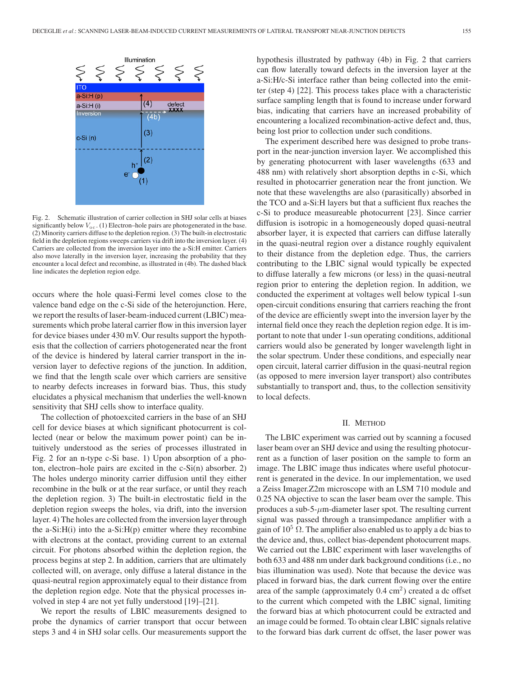

Fig. 2. Schematic illustration of carrier collection in SHJ solar cells at biases significantly below  $V_{\text{oc}}$ . (1) Electron–hole pairs are photogenerated in the base. (2) Minority carriers diffuse to the depletion region. (3) The built-in electrostatic field in the depletion regions sweeps carriers via drift into the inversion layer. (4) Carriers are collected from the inversion layer into the a-Si:H emitter. Carriers also move laterally in the inversion layer, increasing the probability that they encounter a local defect and recombine, as illustrated in (4b). The dashed black line indicates the depletion region edge.

occurs where the hole quasi-Fermi level comes close to the valence band edge on the c-Si side of the heterojunction. Here, we report the results of laser-beam-induced current (LBIC) measurements which probe lateral carrier flow in this inversion layer for device biases under 430 mV. Our results support the hypothesis that the collection of carriers photogenerated near the front of the device is hindered by lateral carrier transport in the inversion layer to defective regions of the junction. In addition, we find that the length scale over which carriers are sensitive to nearby defects increases in forward bias. Thus, this study elucidates a physical mechanism that underlies the well-known sensitivity that SHJ cells show to interface quality.

The collection of photoexcited carriers in the base of an SHJ cell for device biases at which significant photocurrent is collected (near or below the maximum power point) can be intuitively understood as the series of processes illustrated in Fig. 2 for an n-type c-Si base. 1) Upon absorption of a photon, electron–hole pairs are excited in the c-Si(n) absorber. 2) The holes undergo minority carrier diffusion until they either recombine in the bulk or at the rear surface, or until they reach the depletion region. 3) The built-in electrostatic field in the depletion region sweeps the holes, via drift, into the inversion layer. 4) The holes are collected from the inversion layer through the a-Si: $H(i)$  into the a-Si: $H(p)$  emitter where they recombine with electrons at the contact, providing current to an external circuit. For photons absorbed within the depletion region, the process begins at step 2. In addition, carriers that are ultimately collected will, on average, only diffuse a lateral distance in the quasi-neutral region approximately equal to their distance from the depletion region edge. Note that the physical processes involved in step 4 are not yet fully understood [19]–[21].

We report the results of LBIC measurements designed to probe the dynamics of carrier transport that occur between steps 3 and 4 in SHJ solar cells. Our measurements support the hypothesis illustrated by pathway (4b) in Fig. 2 that carriers can flow laterally toward defects in the inversion layer at the a-Si:H/c-Si interface rather than being collected into the emitter (step 4) [22]. This process takes place with a characteristic surface sampling length that is found to increase under forward bias, indicating that carriers have an increased probability of encountering a localized recombination-active defect and, thus, being lost prior to collection under such conditions.

The experiment described here was designed to probe transport in the near-junction inversion layer. We accomplished this by generating photocurrent with laser wavelengths (633 and 488 nm) with relatively short absorption depths in c-Si, which resulted in photocarrier generation near the front junction. We note that these wavelengths are also (parasitically) absorbed in the TCO and a-Si:H layers but that a sufficient flux reaches the c-Si to produce measureable photocurrent [23]. Since carrier diffusion is isotropic in a homogeneously doped quasi-neutral absorber layer, it is expected that carriers can diffuse laterally in the quasi-neutral region over a distance roughly equivalent to their distance from the depletion edge. Thus, the carriers contributing to the LBIC signal would typically be expected to diffuse laterally a few microns (or less) in the quasi-neutral region prior to entering the depletion region. In addition, we conducted the experiment at voltages well below typical 1-sun open-circuit conditions ensuring that carriers reaching the front of the device are efficiently swept into the inversion layer by the internal field once they reach the depletion region edge. It is important to note that under 1-sun operating conditions, additional carriers would also be generated by longer wavelength light in the solar spectrum. Under these conditions, and especially near open circuit, lateral carrier diffusion in the quasi-neutral region (as opposed to mere inversion layer transport) also contributes substantially to transport and, thus, to the collection sensitivity to local defects.

#### II. METHOD

The LBIC experiment was carried out by scanning a focused laser beam over an SHJ device and using the resulting photocurrent as a function of laser position on the sample to form an image. The LBIC image thus indicates where useful photocurrent is generated in the device. In our implementation, we used a Zeiss Imager.Z2m microscope with an LSM 710 module and 0.25 NA objective to scan the laser beam over the sample. This produces a sub-5- $\mu$ m-diameter laser spot. The resulting current signal was passed through a transimpedance amplifier with a gain of  $10^5 \Omega$ . The amplifier also enabled us to apply a dc bias to the device and, thus, collect bias-dependent photocurrent maps. We carried out the LBIC experiment with laser wavelengths of both 633 and 488 nm under dark background conditions (i.e., no bias illumination was used). Note that because the device was placed in forward bias, the dark current flowing over the entire area of the sample (approximately  $0.4 \text{ cm}^2$ ) created a dc offset to the current which competed with the LBIC signal, limiting the forward bias at which photocurrent could be extracted and an image could be formed. To obtain clear LBIC signals relative to the forward bias dark current dc offset, the laser power was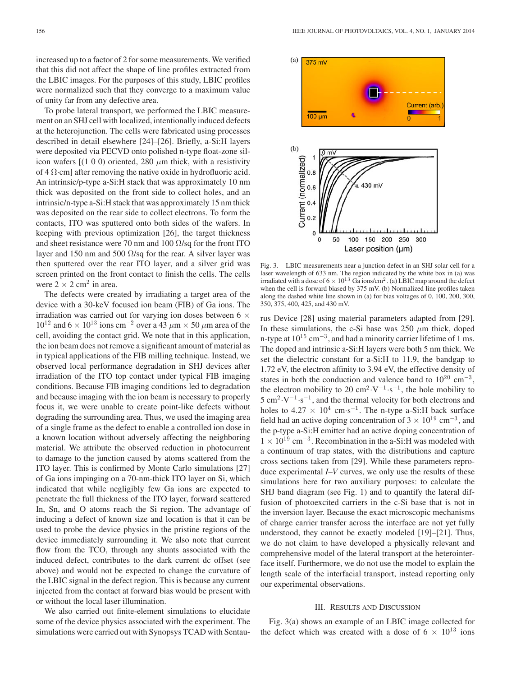increased up to a factor of 2 for some measurements. We verified that this did not affect the shape of line profiles extracted from the LBIC images. For the purposes of this study, LBIC profiles were normalized such that they converge to a maximum value of unity far from any defective area.

To probe lateral transport, we performed the LBIC measurement on an SHJ cell with localized, intentionally induced defects at the heterojunction. The cells were fabricated using processes described in detail elsewhere [24]–[26]. Briefly, a-Si:H layers were deposited via PECVD onto polished n-type float-zone silicon wafers  $[(1 0 0)$  oriented, 280  $\mu$ m thick, with a resistivity of 4  $\Omega$ ·cm] after removing the native oxide in hydrofluoric acid. An intrinsic/p-type a-Si:H stack that was approximately 10 nm thick was deposited on the front side to collect holes, and an intrinsic/n-type a-Si:H stack that was approximately 15 nm thick was deposited on the rear side to collect electrons. To form the contacts, ITO was sputtered onto both sides of the wafers. In keeping with previous optimization [26], the target thickness and sheet resistance were 70 nm and 100  $\Omega$ /sq for the front ITO layer and 150 nm and 500  $\Omega$ /sq for the rear. A silver layer was then sputtered over the rear ITO layer, and a silver grid was screen printed on the front contact to finish the cells. The cells were  $2 \times 2$  cm<sup>2</sup> in area.

The defects were created by irradiating a target area of the device with a 30-keV focused ion beam (FIB) of Ga ions. The irradiation was carried out for varying ion doses between 6  $\times$  $10^{12}$  and  $6 \times 10^{13}$  ions cm<sup>-2</sup> over a 43  $\mu$ m  $\times$  50  $\mu$ m area of the cell, avoiding the contact grid. We note that in this application, the ion beam does not remove a significant amount of material as in typical applications of the FIB milling technique. Instead, we observed local performance degradation in SHJ devices after irradiation of the ITO top contact under typical FIB imaging conditions. Because FIB imaging conditions led to degradation and because imaging with the ion beam is necessary to properly focus it, we were unable to create point-like defects without degrading the surrounding area. Thus, we used the imaging area of a single frame as the defect to enable a controlled ion dose in a known location without adversely affecting the neighboring material. We attribute the observed reduction in photocurrent to damage to the junction caused by atoms scattered from the ITO layer. This is confirmed by Monte Carlo simulations [27] of Ga ions impinging on a 70-nm-thick ITO layer on Si, which indicated that while negligibly few Ga ions are expected to penetrate the full thickness of the ITO layer, forward scattered In, Sn, and O atoms reach the Si region. The advantage of inducing a defect of known size and location is that it can be used to probe the device physics in the pristine regions of the device immediately surrounding it. We also note that current flow from the TCO, through any shunts associated with the induced defect, contributes to the dark current dc offset (see above) and would not be expected to change the curvature of the LBIC signal in the defect region. This is because any current injected from the contact at forward bias would be present with or without the local laser illumination.

We also carried out finite-element simulations to elucidate some of the device physics associated with the experiment. The simulations were carried out with Synopsys TCAD with Sentau-



Fig. 3. LBIC measurements near a junction defect in an SHJ solar cell for a laser wavelength of 633 nm. The region indicated by the white box in (a) was irradiated with a dose of  $6 \times 10^{13}$  Ga ions/cm<sup>2</sup>. (a) LBIC map around the defect when the cell is forward biased by 375 mV. (b) Normalized line profiles taken along the dashed white line shown in (a) for bias voltages of 0, 100, 200, 300, 350, 375, 400, 425, and 430 mV.

rus Device [28] using material parameters adapted from [29]. In these simulations, the c-Si base was  $250 \mu m$  thick, doped n-type at  $10^{15}$  cm<sup>-3</sup>, and had a minority carrier lifetime of 1 ms. The doped and intrinsic a-Si:H layers were both 5 nm thick. We set the dielectric constant for a-Si:H to 11.9, the bandgap to 1.72 eV, the electron affinity to 3.94 eV, the effective density of states in both the conduction and valence band to  $10^{20}$  cm<sup>-3</sup>, the electron mobility to 20 cm<sup>2</sup> · V<sup>-1</sup> ·s<sup>-1</sup>, the hole mobility to  $5 \text{ cm}^2 \cdot \text{V}^{-1} \cdot \text{s}^{-1}$ , and the thermal velocity for both electrons and holes to  $4.27 \times 10^4$  cm·s<sup>-1</sup>. The n-type a-Si:H back surface field had an active doping concentration of 3  $\times$  10<sup>19</sup> cm<sup>-3</sup>, and the p-type a-Si:H emitter had an active doping concentration of  $1 \times 10^{19}$  cm<sup>-3</sup>. Recombination in the a-Si:H was modeled with a continuum of trap states, with the distributions and capture cross sections taken from [29]. While these parameters reproduce experimental *I–V* curves, we only use the results of these simulations here for two auxiliary purposes: to calculate the SHJ band diagram (see Fig. 1) and to quantify the lateral diffusion of photoexcited carriers in the c-Si base that is not in the inversion layer. Because the exact microscopic mechanisms of charge carrier transfer across the interface are not yet fully understood, they cannot be exactly modeled [19]–[21]. Thus, we do not claim to have developed a physically relevant and comprehensive model of the lateral transport at the heterointerface itself. Furthermore, we do not use the model to explain the length scale of the interfacial transport, instead reporting only our experimental observations.

## III. RESULTS AND DISCUSSION

Fig. 3(a) shows an example of an LBIC image collected for the defect which was created with a dose of  $6 \times 10^{13}$  ions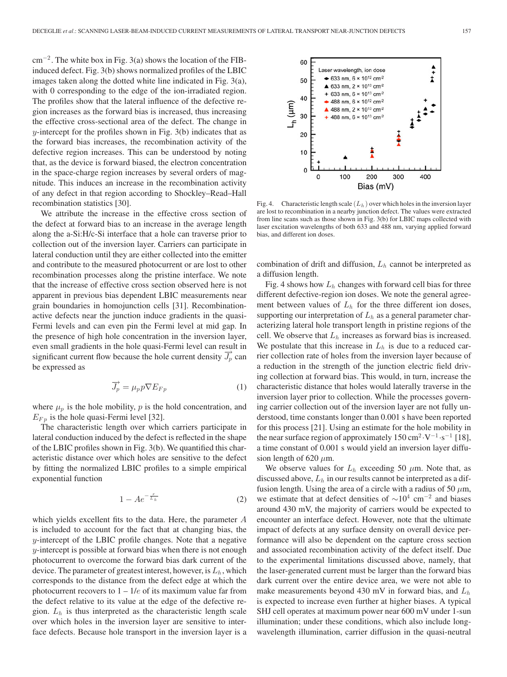$cm^{-2}$ . The white box in Fig. 3(a) shows the location of the FIBinduced defect. Fig. 3(b) shows normalized profiles of the LBIC images taken along the dotted white line indicated in Fig. 3(a), with 0 corresponding to the edge of the ion-irradiated region. The profiles show that the lateral influence of the defective region increases as the forward bias is increased, thus increasing the effective cross-sectional area of the defect. The change in  $y$ -intercept for the profiles shown in Fig. 3(b) indicates that as the forward bias increases, the recombination activity of the defective region increases. This can be understood by noting that, as the device is forward biased, the electron concentration in the space-charge region increases by several orders of magnitude. This induces an increase in the recombination activity of any defect in that region according to Shockley–Read–Hall recombination statistics [30].

We attribute the increase in the effective cross section of the defect at forward bias to an increase in the average length along the a-Si:H/c-Si interface that a hole can traverse prior to collection out of the inversion layer. Carriers can participate in lateral conduction until they are either collected into the emitter and contribute to the measured photocurrent or are lost to other recombination processes along the pristine interface. We note that the increase of effective cross section observed here is not apparent in previous bias dependent LBIC measurements near grain boundaries in homojunction cells [31]. Recombinationactive defects near the junction induce gradients in the quasi-Fermi levels and can even pin the Fermi level at mid gap. In the presence of high hole concentration in the inversion layer, even small gradients in the hole quasi-Fermi level can result in significant current flow because the hole current density  $J_p$  can be expressed as

$$
\overrightarrow{J_p} = \mu_p p \nabla E_{Fp} \tag{1}
$$

where  $\mu_p$  is the hole mobility, p is the hold concentration, and  $E_{F_p}$  is the hole quasi-Fermi level [32].

The characteristic length over which carriers participate in lateral conduction induced by the defect is reflected in the shape of the LBIC profiles shown in Fig. 3(b). We quantified this characteristic distance over which holes are sensitive to the defect by fitting the normalized LBIC profiles to a simple empirical exponential function

$$
1 - Ae^{-\frac{x}{L_h}}
$$
 (2)

which yields excellent fits to the data. Here, the parameter A is included to account for the fact that at changing bias, the y-intercept of the LBIC profile changes. Note that a negative y-intercept is possible at forward bias when there is not enough photocurrent to overcome the forward bias dark current of the device. The parameter of greatest interest, however, is  $L<sub>h</sub>$ , which corresponds to the distance from the defect edge at which the photocurrent recovers to  $1 - 1/e$  of its maximum value far from the defect relative to its value at the edge of the defective region.  $L<sub>h</sub>$  is thus interpreted as the characteristic length scale over which holes in the inversion layer are sensitive to interface defects. Because hole transport in the inversion layer is a



Fig. 4. Characteristic length scale  $(L_h)$  over which holes in the inversion layer are lost to recombination in a nearby junction defect. The values were extracted from line scans such as those shown in Fig. 3(b) for LBIC maps collected with laser excitation wavelengths of both 633 and 488 nm, varying applied forward bias, and different ion doses.

combination of drift and diffusion,  $L<sub>h</sub>$  cannot be interpreted as a diffusion length.

Fig. 4 shows how  $L<sub>h</sub>$  changes with forward cell bias for three different defective-region ion doses. We note the general agreement between values of  $L<sub>h</sub>$  for the three different ion doses, supporting our interpretation of  $L<sub>h</sub>$  as a general parameter characterizing lateral hole transport length in pristine regions of the cell. We observe that  $L<sub>h</sub>$  increases as forward bias is increased. We postulate that this increase in  $L<sub>h</sub>$  is due to a reduced carrier collection rate of holes from the inversion layer because of a reduction in the strength of the junction electric field driving collection at forward bias. This would, in turn, increase the characteristic distance that holes would laterally traverse in the inversion layer prior to collection. While the processes governing carrier collection out of the inversion layer are not fully understood, time constants longer than 0.001 s have been reported for this process [21]. Using an estimate for the hole mobility in the near surface region of approximately  $150 \text{ cm}^2 \cdot \text{V}^{-1} \cdot \text{s}^{-1}$  [18], a time constant of 0.001 s would yield an inversion layer diffusion length of 620  $\mu$ m.

We observe values for  $L_h$  exceeding 50  $\mu$ m. Note that, as discussed above,  $L<sub>h</sub>$  in our results cannot be interpreted as a diffusion length. Using the area of a circle with a radius of 50  $\mu$ m, we estimate that at defect densities of  $\sim 10^4$  cm<sup>-2</sup> and biases around 430 mV, the majority of carriers would be expected to encounter an interface defect. However, note that the ultimate impact of defects at any surface density on overall device performance will also be dependent on the capture cross section and associated recombination activity of the defect itself. Due to the experimental limitations discussed above, namely, that the laser-generated current must be larger than the forward bias dark current over the entire device area, we were not able to make measurements beyond 430 mV in forward bias, and  $L_h$ is expected to increase even further at higher biases. A typical SHJ cell operates at maximum power near 600 mV under 1-sun illumination; under these conditions, which also include longwavelength illumination, carrier diffusion in the quasi-neutral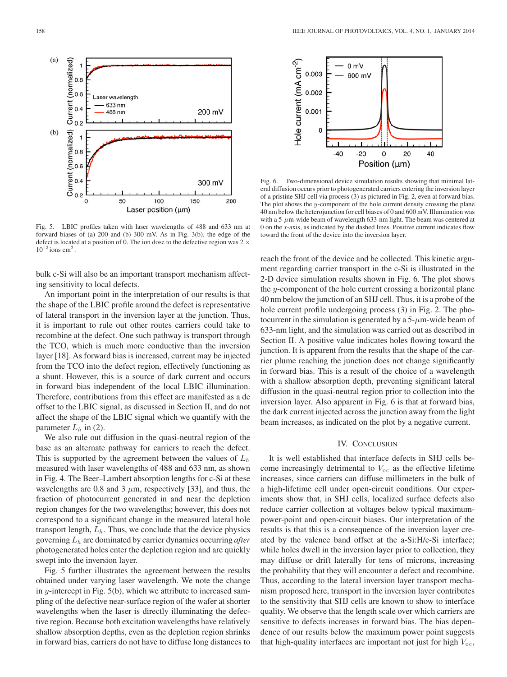

Fig. 5. LBIC profiles taken with laser wavelengths of 488 and 633 nm at forward biases of (a) 200 and (b) 300 mV. As in Fig. 3(b), the edge of the defect is located at a position of 0. The ion dose to the defective region was  $2 \times$  $10^{13}$  ions cm<sup>2</sup>.

bulk c-Si will also be an important transport mechanism affecting sensitivity to local defects.

An important point in the interpretation of our results is that the shape of the LBIC profile around the defect is representative of lateral transport in the inversion layer at the junction. Thus, it is important to rule out other routes carriers could take to recombine at the defect. One such pathway is transport through the TCO, which is much more conductive than the inversion layer [18]. As forward bias is increased, current may be injected from the TCO into the defect region, effectively functioning as a shunt. However, this is a source of dark current and occurs in forward bias independent of the local LBIC illumination. Therefore, contributions from this effect are manifested as a dc offset to the LBIC signal, as discussed in Section II, and do not affect the shape of the LBIC signal which we quantify with the parameter  $L_h$  in (2).

We also rule out diffusion in the quasi-neutral region of the base as an alternate pathway for carriers to reach the defect. This is supported by the agreement between the values of  $L<sub>h</sub>$ measured with laser wavelengths of 488 and 633 nm, as shown in Fig. 4. The Beer–Lambert absorption lengths for c-Si at these wavelengths are 0.8 and 3  $\mu$ m, respectively [33], and thus, the fraction of photocurrent generated in and near the depletion region changes for the two wavelengths; however, this does not correspond to a significant change in the measured lateral hole transport length,  $L<sub>h</sub>$ . Thus, we conclude that the device physics governing Lh are dominated by carrier dynamics occurring *after* photogenerated holes enter the depletion region and are quickly swept into the inversion layer.

Fig. 5 further illustrates the agreement between the results obtained under varying laser wavelength. We note the change in  $y$ -intercept in Fig. 5(b), which we attribute to increased sampling of the defective near-surface region of the wafer at shorter wavelengths when the laser is directly illuminating the defective region. Because both excitation wavelengths have relatively shallow absorption depths, even as the depletion region shrinks in forward bias, carriers do not have to diffuse long distances to



Fig. 6. Two-dimensional device simulation results showing that minimal lateral diffusion occurs prior to photogenerated carriers entering the inversion layer of a pristine SHJ cell via process (3) as pictured in Fig. 2, even at forward bias. The plot shows the  $y$ -component of the hole current density crossing the plane 40 nm below the heterojunction for cell biases of 0 and 600 mV. Illumination was with a  $5-\mu$ m-wide beam of wavelength 633-nm light. The beam was centered at 0 on the *x-*axis, as indicated by the dashed lines. Positive current indicates flow toward the front of the device into the inversion layer.

reach the front of the device and be collected. This kinetic argument regarding carrier transport in the c-Si is illustrated in the 2-D device simulation results shown in Fig. 6. The plot shows the y-component of the hole current crossing a horizontal plane 40 nm below the junction of an SHJ cell. Thus, it is a probe of the hole current profile undergoing process (3) in Fig. 2. The photocurrent in the simulation is generated by a  $5-\mu$ m-wide beam of 633-nm light, and the simulation was carried out as described in Section II. A positive value indicates holes flowing toward the junction. It is apparent from the results that the shape of the carrier plume reaching the junction does not change significantly in forward bias. This is a result of the choice of a wavelength with a shallow absorption depth, preventing significant lateral diffusion in the quasi-neutral region prior to collection into the inversion layer. Also apparent in Fig. 6 is that at forward bias, the dark current injected across the junction away from the light beam increases, as indicated on the plot by a negative current.

## IV. CONCLUSION

It is well established that interface defects in SHJ cells become increasingly detrimental to  $V_{\text{oc}}$  as the effective lifetime increases, since carriers can diffuse millimeters in the bulk of a high-lifetime cell under open-circuit conditions. Our experiments show that, in SHJ cells, localized surface defects also reduce carrier collection at voltages below typical maximumpower-point and open-circuit biases. Our interpretation of the results is that this is a consequence of the inversion layer created by the valence band offset at the a-Si:H/c-Si interface; while holes dwell in the inversion layer prior to collection, they may diffuse or drift laterally for tens of microns, increasing the probability that they will encounter a defect and recombine. Thus, according to the lateral inversion layer transport mechanism proposed here, transport in the inversion layer contributes to the sensitivity that SHJ cells are known to show to interface quality. We observe that the length scale over which carriers are sensitive to defects increases in forward bias. The bias dependence of our results below the maximum power point suggests that high-quality interfaces are important not just for high  $V_{\rm oc}$ ,